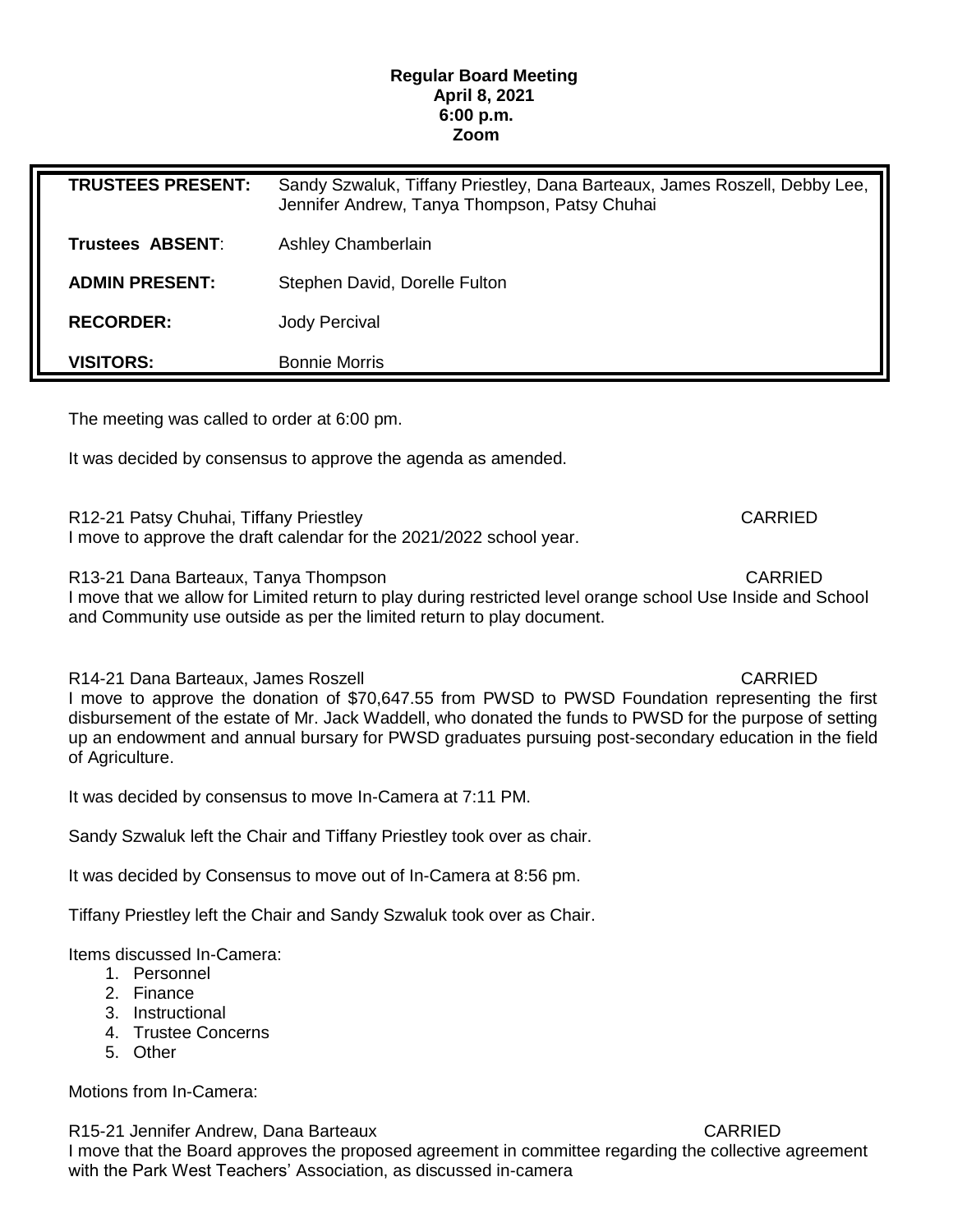## **Regular Board Meeting April 8, 2021 6:00 p.m. Zoom**

| <b>TRUSTEES PRESENT:</b> | Sandy Szwaluk, Tiffany Priestley, Dana Barteaux, James Roszell, Debby Lee,<br>Jennifer Andrew, Tanya Thompson, Patsy Chuhai |
|--------------------------|-----------------------------------------------------------------------------------------------------------------------------|
| Trustees ABSENT:         | <b>Ashley Chamberlain</b>                                                                                                   |
| <b>ADMIN PRESENT:</b>    | Stephen David, Dorelle Fulton                                                                                               |
| <b>RECORDER:</b>         | <b>Jody Percival</b>                                                                                                        |
| <b>VISITORS:</b>         | <b>Bonnie Morris</b>                                                                                                        |

The meeting was called to order at 6:00 pm.

It was decided by consensus to approve the agenda as amended.

R12-21 Patsy Chuhai, Tiffany Priestley CARRIED I move to approve the draft calendar for the 2021/2022 school year.

R13-21 Dana Barteaux, Tanya Thompson CARRIED

I move that we allow for Limited return to play during restricted level orange school Use Inside and School and Community use outside as per the limited return to play document.

R14-21 Dana Barteaux, James Roszell CARRIED

I move to approve the donation of \$70,647.55 from PWSD to PWSD Foundation representing the first disbursement of the estate of Mr. Jack Waddell, who donated the funds to PWSD for the purpose of setting up an endowment and annual bursary for PWSD graduates pursuing post-secondary education in the field of Agriculture.

It was decided by consensus to move In-Camera at 7:11 PM.

Sandy Szwaluk left the Chair and Tiffany Priestley took over as chair.

It was decided by Consensus to move out of In-Camera at 8:56 pm.

Tiffany Priestley left the Chair and Sandy Szwaluk took over as Chair.

Items discussed In-Camera:

- 1. Personnel
- 2. Finance
- 3. Instructional
- 4. Trustee Concerns
- 5. Other

Motions from In-Camera:

R15-21 Jennifer Andrew, Dana Barteaux CARRIED

I move that the Board approves the proposed agreement in committee regarding the collective agreement with the Park West Teachers' Association, as discussed in-camera